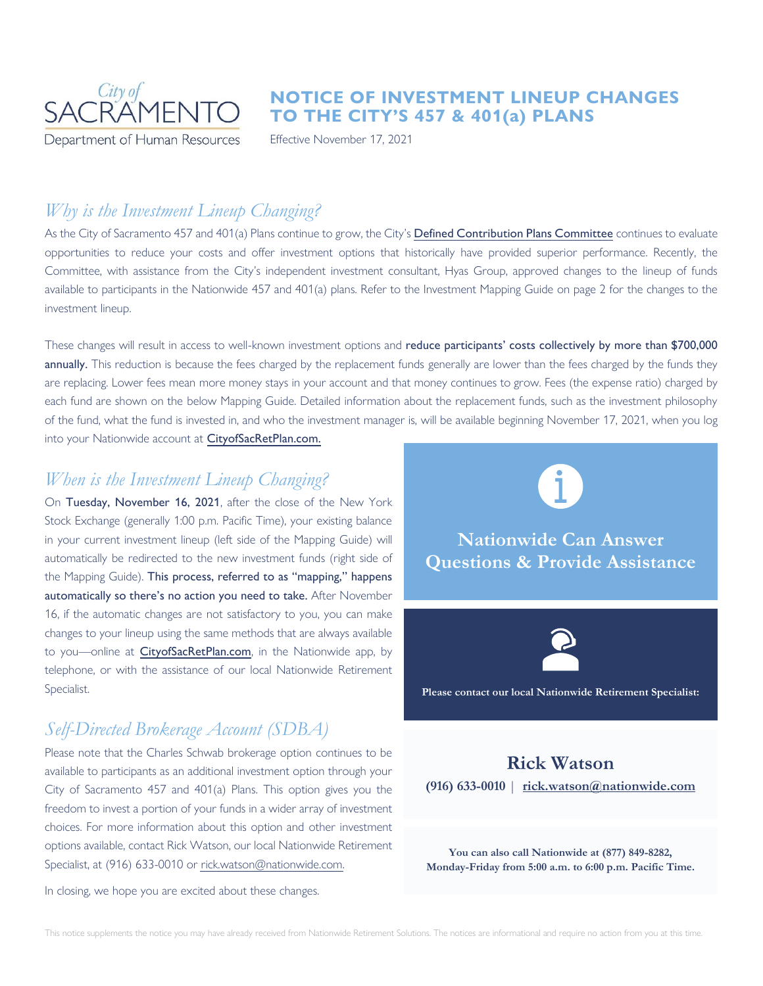

### **NOTICE OF INVESTMENT LINEUP CHANGES TO THE CITY'S 457 & 401(a) PLANS**

Effective November 17, 2021

# *Why is the Investment Lineup Changing?*

As the City of Sacramento 457 and 401(a) Plans continue to grow, the City's [Defined Contribution Plans Committee](http://www.cityofsacramento.org/Clerk/Legislative-Bodies/Boards-and-Commissions/Defined-Contribution-Plans-Committee) continues to evaluate opportunities to reduce your costs and offer investment options that historically have provided superior performance. Recently, the Committee, with assistance from the City's independent investment consultant, Hyas Group, approved changes to the lineup of funds available to participants in the Nationwide 457 and 401(a) plans. Refer to the Investment Mapping Guide on page 2 for the changes to the investment lineup.

These changes will result in access to well-known investment options and reduce participants' costs collectively by more than \$700,000 annually. This reduction is because the fees charged by the replacement funds generally are lower than the fees charged by the funds they are replacing. Lower fees mean more money stays in your account and that money continues to grow. Fees (the expense ratio) charged by each fund are shown on the below Mapping Guide. Detailed information about the replacement funds, such as the investment philosophy of the fund, what the fund is invested in, and who the investment manager is, will be available beginning November 17, 2021, when you log into your Nationwide account at [CityofSacRetPlan.com.](https://www.cityofsacretplan.com/rsc-web-preauth/index.html)

### *When is the Investment Lineup Changing?*

On Tuesday, November 16, 2021, after the close of the New York Stock Exchange (generally 1:00 p.m. Pacific Time), your existing balance in your current investment lineup (left side of the Mapping Guide) will automatically be redirected to the new investment funds (right side of the Mapping Guide). This process, referred to as "mapping," happens automatically so there's no action you need to take. After November 16, if the automatic changes are not satisfactory to you, you can make changes to your lineup using the same methods that are always available to you-online at [CityofSacRetPlan.com](https://www.cityofsacretplan.com/rsc-web-preauth/index.html), in the Nationwide app, by telephone, or with the assistance of our local Nationwide Retirement Specialist.

# *Self-Directed Brokerage Account (SDBA)*

Please note that the Charles Schwab brokerage option continues to be available to participants as an additional investment option through your City of Sacramento 457 and 401(a) Plans. This option gives you the freedom to invest a portion of your funds in a wider array of investment choices. For more information about this option and other investment options available, contact Rick Watson, our local Nationwide Retirement Specialist, at (916) 633-0010 or [rick.watson@nationwide.com.](mailto:rick.watson@nationwide.com)

In closing, we hope you are excited about these changes.



**Nationwide Can Answer Questions & Provide Assistance**



**Please contact our local Nationwide Retirement Specialist:**

## **Rick Watson (916) 633-0010** | **[rick.watson@nationwide.com](mailto:rick.watson@nationwide.com)**

**You can also call Nationwide at (877) 849-8282, Monday-Friday from 5:00 a.m. to 6:00 p.m. Pacific Time.**